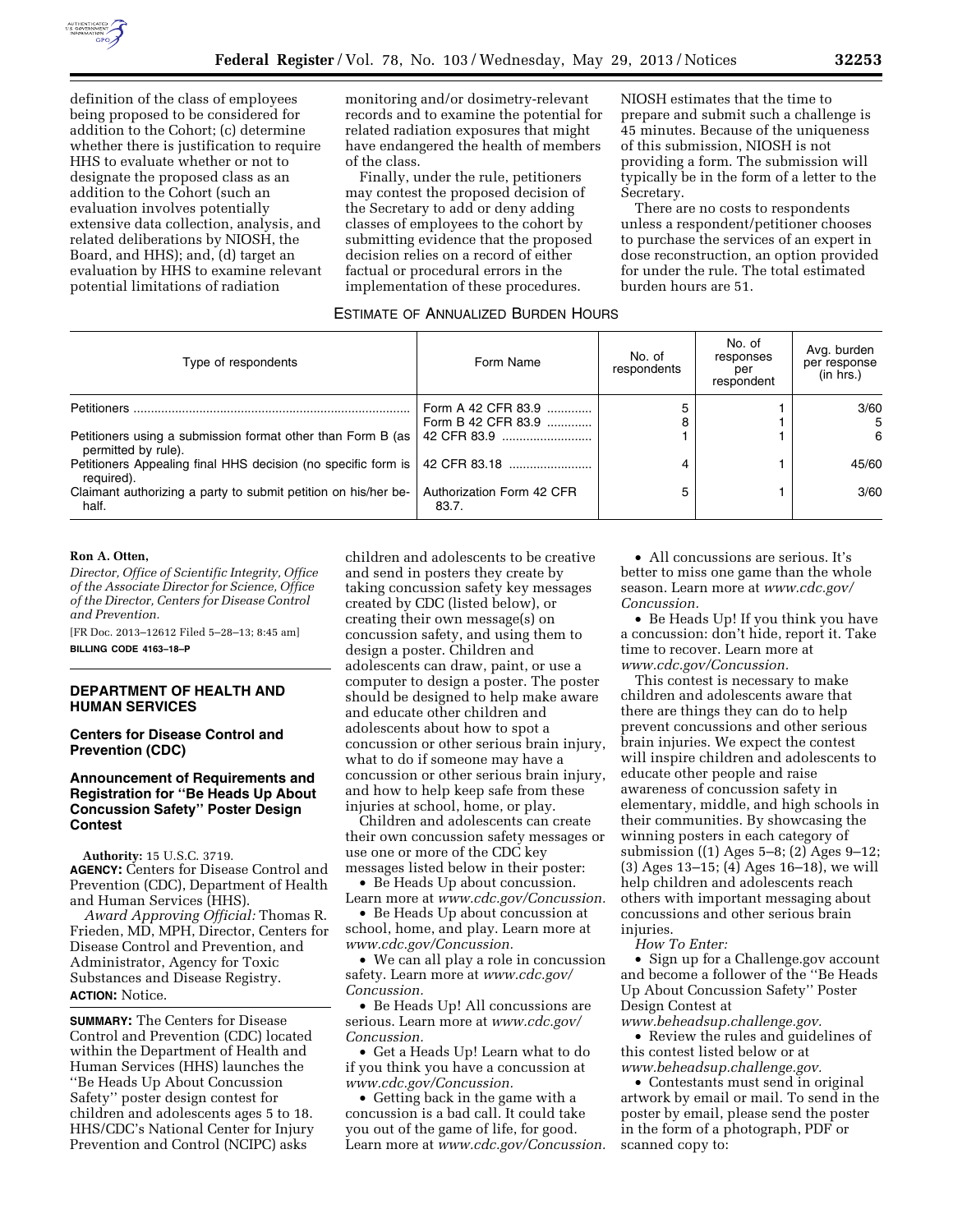

definition of the class of employees being proposed to be considered for addition to the Cohort; (c) determine whether there is justification to require HHS to evaluate whether or not to designate the proposed class as an addition to the Cohort (such an evaluation involves potentially extensive data collection, analysis, and related deliberations by NIOSH, the Board, and HHS); and, (d) target an evaluation by HHS to examine relevant potential limitations of radiation

monitoring and/or dosimetry-relevant records and to examine the potential for related radiation exposures that might have endangered the health of members of the class.

Finally, under the rule, petitioners may contest the proposed decision of the Secretary to add or deny adding classes of employees to the cohort by submitting evidence that the proposed decision relies on a record of either factual or procedural errors in the implementation of these procedures.

NIOSH estimates that the time to prepare and submit such a challenge is 45 minutes. Because of the uniqueness of this submission, NIOSH is not providing a form. The submission will typically be in the form of a letter to the Secretary.

There are no costs to respondents unless a respondent/petitioner chooses to purchase the services of an expert in dose reconstruction, an option provided for under the rule. The total estimated burden hours are 51.

## ESTIMATE OF ANNUALIZED BURDEN HOURS

| Type of respondents                                                                  | Form Name                                | No. of<br>respondents | No. of<br>responses<br>per<br>respondent | Avg. burden<br>per response<br>(in hrs.) |
|--------------------------------------------------------------------------------------|------------------------------------------|-----------------------|------------------------------------------|------------------------------------------|
| Petitioners.                                                                         | Form A 42 CFR 83.9<br>Form B 42 CFR 83.9 | 8                     |                                          | 3/60<br>5                                |
| Petitioners using a submission format other than Form B (as )<br>permitted by rule). |                                          |                       |                                          | 6                                        |
| Petitioners Appealing final HHS decision (no specific form is  <br>required).        | 42 CFR 83.18                             | 4                     |                                          | 45/60                                    |
| Claimant authorizing a party to submit petition on his/her be-<br>half.              | Authorization Form 42 CFR<br>83.7.       | 5                     |                                          | 3/60                                     |

#### **Ron A. Otten,**

*Director, Office of Scientific Integrity, Office of the Associate Director for Science, Office of the Director, Centers for Disease Control and Prevention.* 

[FR Doc. 2013–12612 Filed 5–28–13; 8:45 am] **BILLING CODE 4163–18–P** 

# **DEPARTMENT OF HEALTH AND HUMAN SERVICES**

**Centers for Disease Control and Prevention (CDC)** 

# **Announcement of Requirements and Registration for ''Be Heads Up About Concussion Safety'' Poster Design Contest**

**Authority:** 15 U.S.C. 3719. **AGENCY:** Centers for Disease Control and Prevention (CDC), Department of Health and Human Services (HHS).

*Award Approving Official:* Thomas R. Frieden, MD, MPH, Director, Centers for Disease Control and Prevention, and Administrator, Agency for Toxic Substances and Disease Registry. **ACTION:** Notice.

**SUMMARY:** The Centers for Disease Control and Prevention (CDC) located within the Department of Health and Human Services (HHS) launches the ''Be Heads Up About Concussion Safety'' poster design contest for children and adolescents ages 5 to 18. HHS/CDC's National Center for Injury Prevention and Control (NCIPC) asks

children and adolescents to be creative and send in posters they create by taking concussion safety key messages created by CDC (listed below), or creating their own message(s) on concussion safety, and using them to design a poster. Children and adolescents can draw, paint, or use a computer to design a poster. The poster should be designed to help make aware and educate other children and adolescents about how to spot a concussion or other serious brain injury, what to do if someone may have a concussion or other serious brain injury, and how to help keep safe from these injuries at school, home, or play.

Children and adolescents can create their own concussion safety messages or use one or more of the CDC key messages listed below in their poster:

• Be Heads Up about concussion. Learn more at *[www.cdc.gov/Concussion.](http://www.cdc.gov/Concussion)* 

• Be Heads Up about concussion at school, home, and play. Learn more at *[www.cdc.gov/Concussion.](http://www.cdc.gov/Concussion)* 

• We can all play a role in concussion safety. Learn more at *[www.cdc.gov/](http://www.cdc.gov/Concussion) [Concussion.](http://www.cdc.gov/Concussion)* 

• Be Heads Up! All concussions are serious. Learn more at *[www.cdc.gov/](http://www.cdc.gov/Concussion)  [Concussion.](http://www.cdc.gov/Concussion)* 

• Get a Heads Up! Learn what to do if you think you have a concussion at *[www.cdc.gov/Concussion.](http://www.cdc.gov/Concussion)* 

• Getting back in the game with a concussion is a bad call. It could take you out of the game of life, for good. Learn more at *[www.cdc.gov/Concussion.](http://www.cdc.gov/Concussion)* 

• All concussions are serious. It's better to miss one game than the whole season. Learn more at *[www.cdc.gov/](http://www.cdc.gov/Concussion)  [Concussion.](http://www.cdc.gov/Concussion)* 

• Be Heads Up! If you think you have a concussion: don't hide, report it. Take time to recover. Learn more at *[www.cdc.gov/Concussion.](http://www.cdc.gov/Concussion)* 

This contest is necessary to make children and adolescents aware that there are things they can do to help prevent concussions and other serious brain injuries. We expect the contest will inspire children and adolescents to educate other people and raise awareness of concussion safety in elementary, middle, and high schools in their communities. By showcasing the winning posters in each category of submission ((1) Ages 5–8; (2) Ages 9–12; (3) Ages 13–15; (4) Ages 16–18), we will help children and adolescents reach others with important messaging about concussions and other serious brain injuries.

*How To Enter:* 

• Sign up for a Challenge.gov account and become a follower of the ''Be Heads Up About Concussion Safety'' Poster Design Contest at

*[www.beheadsup.challenge.gov.](http://www.beheadsup.challenge.gov)* 

• Review the rules and guidelines of this contest listed below or at *[www.beheadsup.challenge.gov.](http://www.beheadsup.challenge.gov)* 

• Contestants must send in original artwork by email or mail. To send in the poster by email, please send the poster in the form of a photograph, PDF or scanned copy to: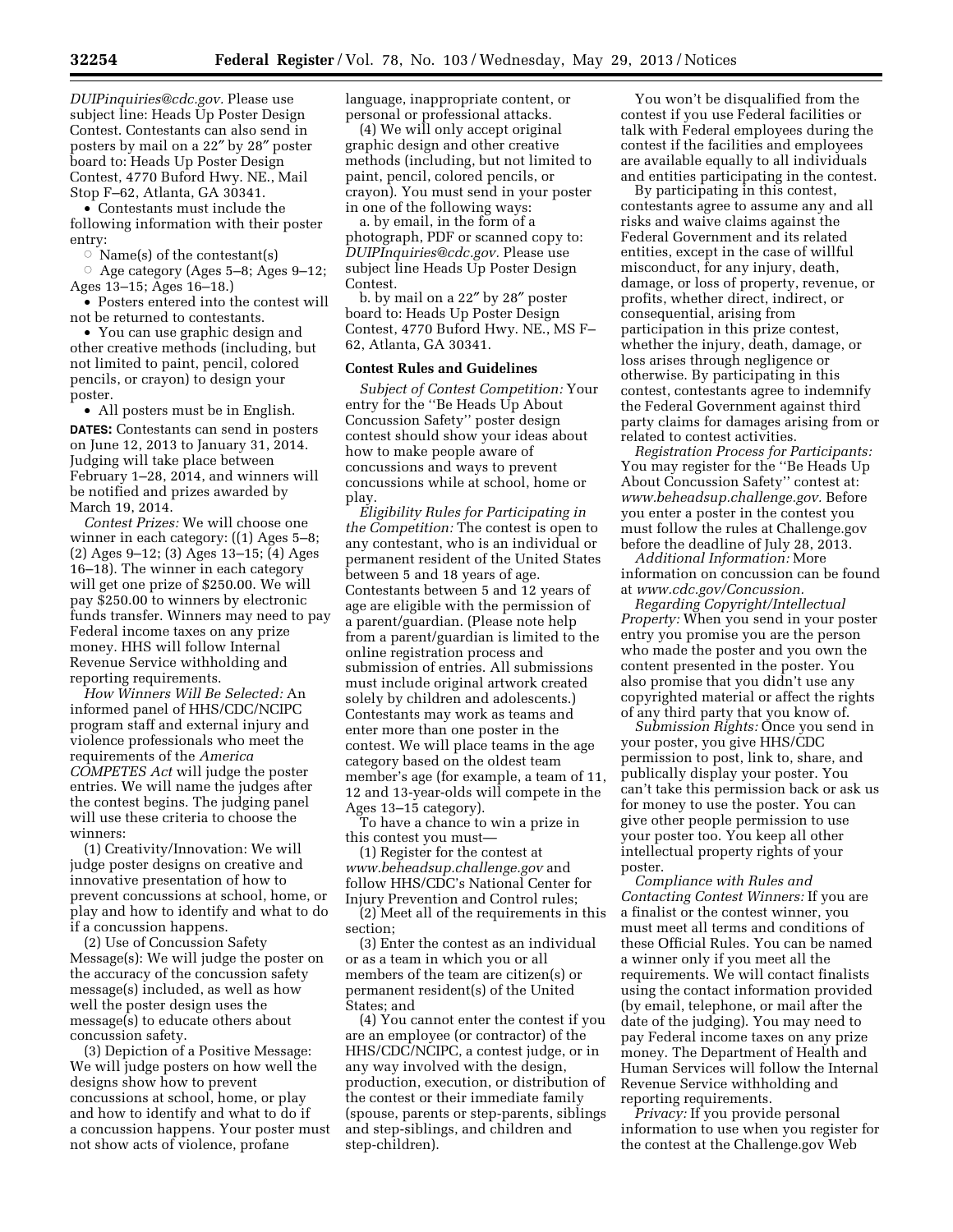*[DUIPinquiries@cdc.gov.](mailto:DUIPinquiries@cdc.gov)* Please use subject line: Heads Up Poster Design Contest. Contestants can also send in posters by mail on a 22″ by 28″ poster board to: Heads Up Poster Design Contest, 4770 Buford Hwy. NE., Mail Stop F–62, Atlanta, GA 30341.

• Contestants must include the following information with their poster entry:

 $\circ$  Name(s) of the contestant(s)

 $\circ$  Age category (Ages 5–8; Ages 9–12; Ages 13–15; Ages 16–18.)

• Posters entered into the contest will not be returned to contestants.

• You can use graphic design and other creative methods (including, but not limited to paint, pencil, colored pencils, or crayon) to design your poster.

• All posters must be in English. **DATES:** Contestants can send in posters on June 12, 2013 to January 31, 2014. Judging will take place between February 1–28, 2014, and winners will be notified and prizes awarded by March 19, 2014.

*Contest Prizes:* We will choose one winner in each category: ((1) Ages 5–8; (2) Ages 9–12; (3) Ages 13–15; (4) Ages 16–18). The winner in each category will get one prize of \$250.00. We will pay \$250.00 to winners by electronic funds transfer. Winners may need to pay Federal income taxes on any prize money. HHS will follow Internal Revenue Service withholding and reporting requirements.

*How Winners Will Be Selected:* An informed panel of HHS/CDC/NCIPC program staff and external injury and violence professionals who meet the requirements of the *America COMPETES Act* will judge the poster entries. We will name the judges after the contest begins. The judging panel will use these criteria to choose the winners:

(1) Creativity/Innovation: We will judge poster designs on creative and innovative presentation of how to prevent concussions at school, home, or play and how to identify and what to do if a concussion happens.

(2) Use of Concussion Safety Message(s): We will judge the poster on the accuracy of the concussion safety message(s) included, as well as how well the poster design uses the message(s) to educate others about concussion safety.

(3) Depiction of a Positive Message: We will judge posters on how well the designs show how to prevent concussions at school, home, or play and how to identify and what to do if a concussion happens. Your poster must not show acts of violence, profane

language, inappropriate content, or personal or professional attacks.

(4) We will only accept original graphic design and other creative methods (including, but not limited to paint, pencil, colored pencils, or crayon). You must send in your poster in one of the following ways:

a. by email, in the form of a photograph, PDF or scanned copy to: *[DUIPInquiries@cdc.gov.](mailto:DUIPInquiries@cdc.gov)* Please use subject line Heads Up Poster Design Contest.

b. by mail on a 22″ by 28″ poster board to: Heads Up Poster Design Contest, 4770 Buford Hwy. NE., MS F– 62, Atlanta, GA 30341.

## **Contest Rules and Guidelines**

*Subject of Contest Competition:* Your entry for the ''Be Heads Up About Concussion Safety'' poster design contest should show your ideas about how to make people aware of concussions and ways to prevent concussions while at school, home or play.

*Eligibility Rules for Participating in the Competition:* The contest is open to any contestant, who is an individual or permanent resident of the United States between 5 and 18 years of age. Contestants between 5 and 12 years of age are eligible with the permission of a parent/guardian. (Please note help from a parent/guardian is limited to the online registration process and submission of entries. All submissions must include original artwork created solely by children and adolescents.) Contestants may work as teams and enter more than one poster in the contest. We will place teams in the age category based on the oldest team member's age (for example, a team of 11, 12 and 13-year-olds will compete in the Ages 13–15 category).

To have a chance to win a prize in this contest you must—

(1) Register for the contest at *[www.beheadsup.challenge.gov](http://www.beheadsup.challenge.gov)* and follow HHS/CDC's National Center for Injury Prevention and Control rules;

(2) Meet all of the requirements in this section;

(3) Enter the contest as an individual or as a team in which you or all members of the team are citizen(s) or permanent resident(s) of the United States; and

(4) You cannot enter the contest if you are an employee (or contractor) of the HHS/CDC/NCIPC, a contest judge, or in any way involved with the design, production, execution, or distribution of the contest or their immediate family (spouse, parents or step-parents, siblings and step-siblings, and children and step-children).

You won't be disqualified from the contest if you use Federal facilities or talk with Federal employees during the contest if the facilities and employees are available equally to all individuals and entities participating in the contest.

By participating in this contest, contestants agree to assume any and all risks and waive claims against the Federal Government and its related entities, except in the case of willful misconduct, for any injury, death, damage, or loss of property, revenue, or profits, whether direct, indirect, or consequential, arising from participation in this prize contest, whether the injury, death, damage, or loss arises through negligence or otherwise. By participating in this contest, contestants agree to indemnify the Federal Government against third party claims for damages arising from or related to contest activities.

*Registration Process for Participants:*  You may register for the ''Be Heads Up About Concussion Safety'' contest at: *[www.beheadsup.challenge.gov.](http://www.beheadsup.challenge.gov)* Before you enter a poster in the contest you must follow the rules at Challenge.gov before the deadline of July 28, 2013.

*Additional Information:* More information on concussion can be found at *[www.cdc.gov/Concussion.](http://www.cdc.gov/Concussion)* 

*Regarding Copyright/Intellectual Property:* When you send in your poster entry you promise you are the person who made the poster and you own the content presented in the poster. You also promise that you didn't use any copyrighted material or affect the rights of any third party that you know of.

*Submission Rights:* Once you send in your poster, you give HHS/CDC permission to post, link to, share, and publically display your poster. You can't take this permission back or ask us for money to use the poster. You can give other people permission to use your poster too. You keep all other intellectual property rights of your poster.

*Compliance with Rules and Contacting Contest Winners:* If you are a finalist or the contest winner, you must meet all terms and conditions of these Official Rules. You can be named a winner only if you meet all the requirements. We will contact finalists using the contact information provided (by email, telephone, or mail after the date of the judging). You may need to pay Federal income taxes on any prize money. The Department of Health and Human Services will follow the Internal Revenue Service withholding and reporting requirements.

*Privacy:* If you provide personal information to use when you register for the contest at the Challenge.gov Web